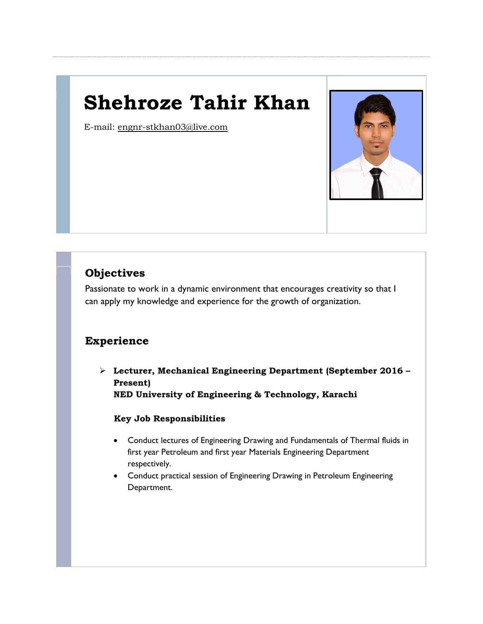# **Shehroze Tahir Khan**

E-mail: [engnr-stkhan03@live.com](mailto:engnr-stkhan03@live.com) 



# **Objectives**

Passionate to work in a dynamic environment that encourages creativity so that I can apply my knowledge and experience for the growth of organization.

# **Experience**

 **Lecturer, Mechanical Engineering Department (September 2016 – Present) NED University of Engineering & Technology, Karachi**

## **Key Job Responsibilities**

- Conduct lectures of Engineering Drawing and Fundamentals of Thermal fluids in first year Petroleum and first year Materials Engineering Department respectively.
- Conduct practical session of Engineering Drawing in Petroleum Engineering Department.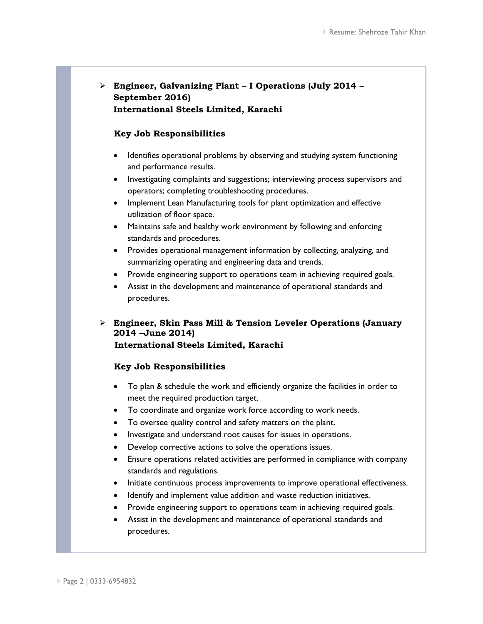## **Engineer, Galvanizing Plant – I Operations (July 2014 – September 2016) International Steels Limited, Karachi**

#### **Key Job Responsibilities**

- Identifies operational problems by observing and studying system functioning and performance results.
- Investigating complaints and suggestions; interviewing process supervisors and operators; completing troubleshooting procedures.
- Implement Lean Manufacturing tools for plant optimization and effective utilization of floor space.
- Maintains safe and healthy work environment by following and enforcing standards and procedures.
- Provides operational management information by collecting, analyzing, and summarizing operating and engineering data and trends.
- Provide engineering support to operations team in achieving required goals.
- Assist in the development and maintenance of operational standards and procedures.
- **Engineer, Skin Pass Mill & Tension Leveler Operations (January 2014 –June 2014) International Steels Limited, Karachi**

## **Key Job Responsibilities**

- To plan & schedule the work and efficiently organize the facilities in order to meet the required production target.
- To coordinate and organize work force according to work needs.
- To oversee quality control and safety matters on the plant.
- Investigate and understand root causes for issues in operations.
- Develop corrective actions to solve the operations issues.
- Ensure operations related activities are performed in compliance with company standards and regulations.
- Initiate continuous process improvements to improve operational effectiveness.
- Identify and implement value addition and waste reduction initiatives.
- Provide engineering support to operations team in achieving required goals.
- Assist in the development and maintenance of operational standards and procedures.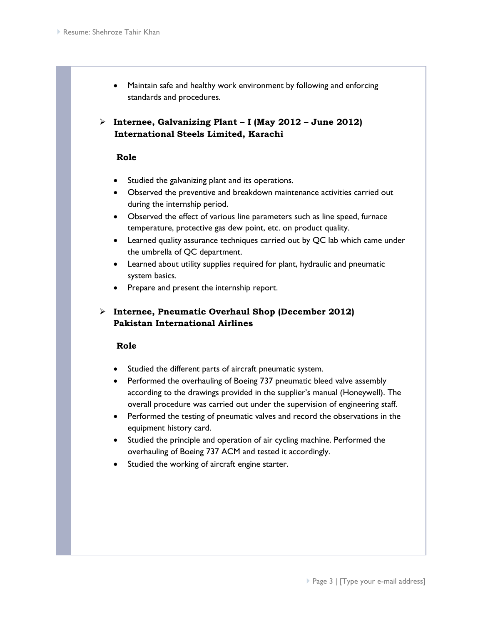- Maintain safe and healthy work environment by following and enforcing standards and procedures.
- **Internee, Galvanizing Plant – I (May 2012 – June 2012) International Steels Limited, Karachi**

#### **Role**

- Studied the galvanizing plant and its operations.
- Observed the preventive and breakdown maintenance activities carried out during the internship period.
- Observed the effect of various line parameters such as line speed, furnace temperature, protective gas dew point, etc. on product quality.
- Learned quality assurance techniques carried out by QC lab which came under the umbrella of QC department.
- Learned about utility supplies required for plant, hydraulic and pneumatic system basics.
- Prepare and present the internship report.

## **Internee, Pneumatic Overhaul Shop (December 2012) Pakistan International Airlines**

## **Role**

- Studied the different parts of aircraft pneumatic system.
- Performed the overhauling of Boeing 737 pneumatic bleed valve assembly according to the drawings provided in the supplier's manual (Honeywell). The overall procedure was carried out under the supervision of engineering staff.
- Performed the testing of pneumatic valves and record the observations in the equipment history card.
- Studied the principle and operation of air cycling machine. Performed the overhauling of Boeing 737 ACM and tested it accordingly.
- Studied the working of aircraft engine starter.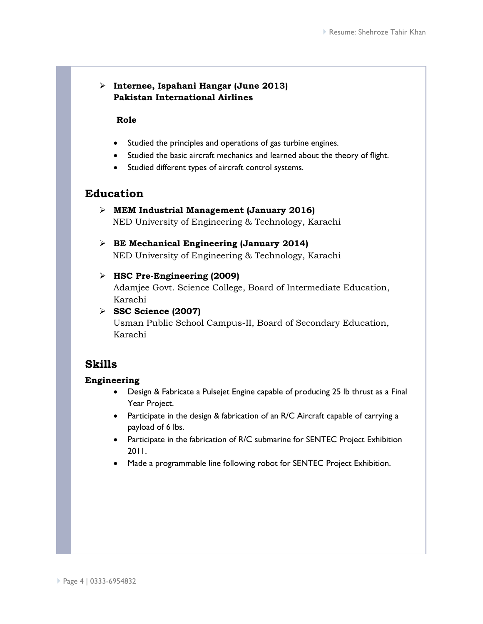## **Internee, Ispahani Hangar (June 2013) Pakistan International Airlines**

#### **Role**

- Studied the principles and operations of gas turbine engines.
- Studied the basic aircraft mechanics and learned about the theory of flight.
- Studied different types of aircraft control systems.

## **Education**

- **MEM Industrial Management (January 2016)** NED University of Engineering & Technology, Karachi
- **BE Mechanical Engineering (January 2014)** NED University of Engineering & Technology, Karachi

## **HSC Pre-Engineering (2009)**

Adamjee Govt. Science College, Board of Intermediate Education, Karachi

 **SSC Science (2007)** Usman Public School Campus-II, Board of Secondary Education, Karachi

## **Skills**

## **Engineering**

- Design & Fabricate a Pulsejet Engine capable of producing 25 lb thrust as a Final Year Project.
- Participate in the design & fabrication of an R/C Aircraft capable of carrying a payload of 6 lbs.
- Participate in the fabrication of R/C submarine for SENTEC Project Exhibition 2011.
- Made a programmable line following robot for SENTEC Project Exhibition.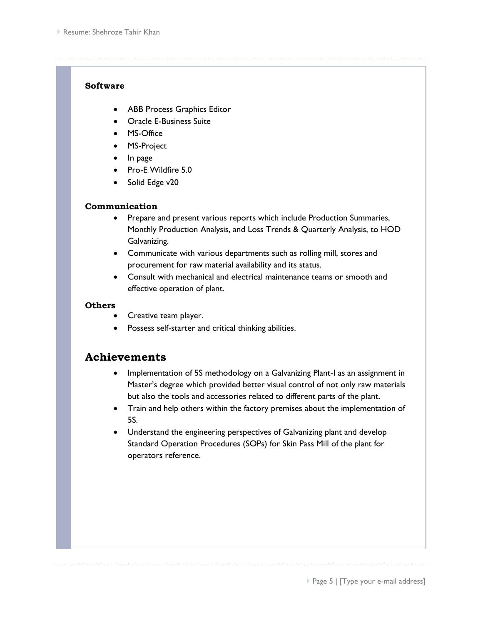#### **Software**

- ABB Process Graphics Editor
- Oracle E-Business Suite
- MS-Office
- MS-Project
- In page
- Pro-E Wildfire 5.0
- Solid Edge v20

## **Communication**

- Prepare and present various reports which include Production Summaries, Monthly Production Analysis, and Loss Trends & Quarterly Analysis, to HOD Galvanizing.
- Communicate with various departments such as rolling mill, stores and procurement for raw material availability and its status.
- Consult with mechanical and electrical maintenance teams or smooth and effective operation of plant.

#### **Others**

- Creative team player.
- Possess self-starter and critical thinking abilities.

## **Achievements**

- Implementation of 5S methodology on a Galvanizing Plant-I as an assignment in Master's degree which provided better visual control of not only raw materials but also the tools and accessories related to different parts of the plant.
- Train and help others within the factory premises about the implementation of 5S.
- Understand the engineering perspectives of Galvanizing plant and develop Standard Operation Procedures (SOPs) for Skin Pass Mill of the plant for operators reference.